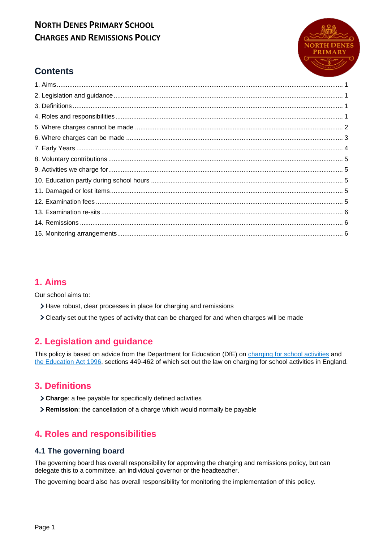

## **Contents**

## <span id="page-0-0"></span>**1. Aims**

Our school aims to:

- Have robust, clear processes in place for charging and remissions
- Clearly set out the types of activity that can be charged for and when charges will be made

## <span id="page-0-1"></span>**2. Legislation and guidance**

This policy is based on advice from the Department for Education (DfE) on [charging for school activities](https://www.gov.uk/government/publications/charging-for-school-activities) and [the Education Act 1996,](http://www.legislation.gov.uk/ukpga/1996/56/part/VI/chapter/III) sections 449-462 of which set out the law on charging for school activities in England.

### <span id="page-0-2"></span>**3. Definitions**

- **Charge**: a fee payable for specifically defined activities
- **Remission**: the cancellation of a charge which would normally be payable

## <span id="page-0-3"></span>**4. Roles and responsibilities**

#### **4.1 The governing board**

The governing board has overall responsibility for approving the charging and remissions policy, but can delegate this to a committee, an individual governor or the headteacher.

The governing board also has overall responsibility for monitoring the implementation of this policy.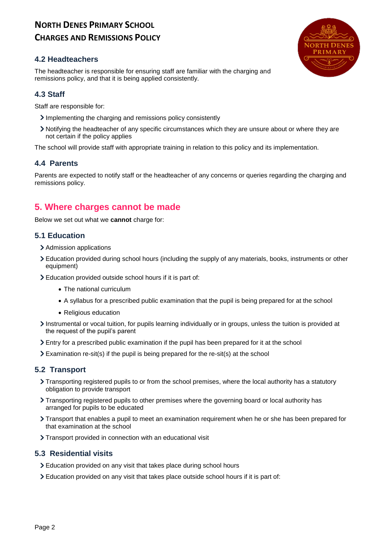#### **4.2 Headteachers**

The headteacher is responsible for ensuring staff are familiar with the charging and remissions policy, and that it is being applied consistently.

#### **4.3 Staff**

Staff are responsible for:

- Implementing the charging and remissions policy consistently
- Notifying the headteacher of any specific circumstances which they are unsure about or where they are not certain if the policy applies

The school will provide staff with appropriate training in relation to this policy and its implementation.

#### **4.4 Parents**

Parents are expected to notify staff or the headteacher of any concerns or queries regarding the charging and remissions policy.

### <span id="page-1-0"></span>**5. Where charges cannot be made**

Below we set out what we **cannot** charge for:

#### **5.1 Education**

- > Admission applications
- Education provided during school hours (including the supply of any materials, books, instruments or other equipment)
- Education provided outside school hours if it is part of:
	- The national curriculum
	- A syllabus for a prescribed public examination that the pupil is being prepared for at the school
	- Religious education
- Instrumental or vocal tuition, for pupils learning individually or in groups, unless the tuition is provided at the request of the pupil's parent
- Entry for a prescribed public examination if the pupil has been prepared for it at the school
- Examination re-sit(s) if the pupil is being prepared for the re-sit(s) at the school

#### **5.2 Transport**

- Transporting registered pupils to or from the school premises, where the local authority has a statutory obligation to provide transport
- Transporting registered pupils to other premises where the governing board or local authority has arranged for pupils to be educated
- Transport that enables a pupil to meet an examination requirement when he or she has been prepared for that examination at the school
- > Transport provided in connection with an educational visit

#### **5.3 Residential visits**

- Education provided on any visit that takes place during school hours
- Education provided on any visit that takes place outside school hours if it is part of:

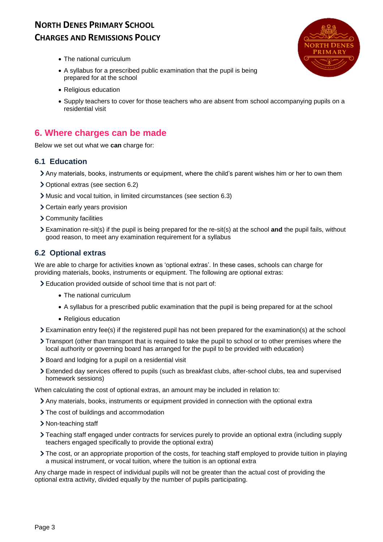

- The national curriculum
- A syllabus for a prescribed public examination that the pupil is being prepared for at the school
- Religious education
- Supply teachers to cover for those teachers who are absent from school accompanying pupils on a residential visit

### <span id="page-2-0"></span>**6. Where charges can be made**

Below we set out what we **can** charge for:

#### **6.1 Education**

- Any materials, books, instruments or equipment, where the child's parent wishes him or her to own them
- Optional extras (see section 6.2)
- Music and vocal tuition, in limited circumstances (see section 6.3)
- Certain early years provision
- Community facilities
- Examination re-sit(s) if the pupil is being prepared for the re-sit(s) at the school **and** the pupil fails, without good reason, to meet any examination requirement for a syllabus

#### **6.2 Optional extras**

We are able to charge for activities known as 'optional extras'. In these cases, schools can charge for providing materials, books, instruments or equipment. The following are optional extras:

- Education provided outside of school time that is not part of:
	- The national curriculum
	- A syllabus for a prescribed public examination that the pupil is being prepared for at the school
	- Religious education
- Examination entry fee(s) if the registered pupil has not been prepared for the examination(s) at the school
- Transport (other than transport that is required to take the pupil to school or to other premises where the local authority or governing board has arranged for the pupil to be provided with education)
- > Board and lodging for a pupil on a residential visit
- Extended day services offered to pupils (such as breakfast clubs, after-school clubs, tea and supervised homework sessions)

When calculating the cost of optional extras, an amount may be included in relation to:

- Any materials, books, instruments or equipment provided in connection with the optional extra
- > The cost of buildings and accommodation
- > Non-teaching staff
- Teaching staff engaged under contracts for services purely to provide an optional extra (including supply teachers engaged specifically to provide the optional extra)
- The cost, or an appropriate proportion of the costs, for teaching staff employed to provide tuition in playing a musical instrument, or vocal tuition, where the tuition is an optional extra

Any charge made in respect of individual pupils will not be greater than the actual cost of providing the optional extra activity, divided equally by the number of pupils participating.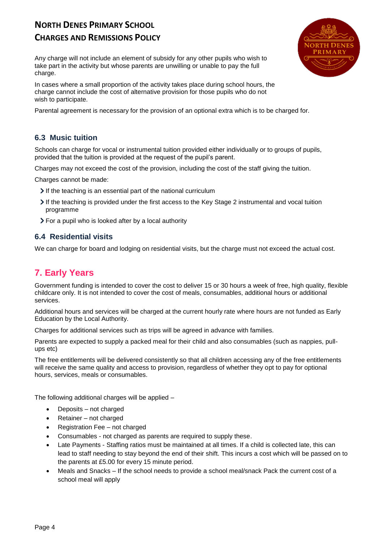## **NORTH DENES PRIMARY SCHOOL**

### **CHARGES AND REMISSIONS POLICY**

Any charge will not include an element of subsidy for any other pupils who wish to take part in the activity but whose parents are unwilling or unable to pay the full charge.

In cases where a small proportion of the activity takes place during school hours, the charge cannot include the cost of alternative provision for those pupils who do not wish to participate.

Parental agreement is necessary for the provision of an optional extra which is to be charged for.

#### **6.3 Music tuition**

Schools can charge for vocal or instrumental tuition provided either individually or to groups of pupils, provided that the tuition is provided at the request of the pupil's parent.

Charges may not exceed the cost of the provision, including the cost of the staff giving the tuition.

Charges cannot be made:

- If the teaching is an essential part of the national curriculum
- If the teaching is provided under the first access to the Key Stage 2 instrumental and vocal tuition programme
- For a pupil who is looked after by a local authority

#### **6.4 Residential visits**

We can charge for board and lodging on residential visits, but the charge must not exceed the actual cost.

## <span id="page-3-0"></span>**7. Early Years**

Government funding is intended to cover the cost to deliver 15 or 30 hours a week of free, high quality, flexible childcare only. It is not intended to cover the cost of meals, consumables, additional hours or additional services.

Additional hours and services will be charged at the current hourly rate where hours are not funded as Early Education by the Local Authority.

Charges for additional services such as trips will be agreed in advance with families.

Parents are expected to supply a packed meal for their child and also consumables (such as nappies, pullups etc)

The free entitlements will be delivered consistently so that all children accessing any of the free entitlements will receive the same quality and access to provision, regardless of whether they opt to pay for optional hours, services, meals or consumables.

The following additional charges will be applied –

- Deposits not charged
- Retainer not charged
- Registration Fee not charged
- Consumables not charged as parents are required to supply these.
- Late Payments Staffing ratios must be maintained at all times. If a child is collected late, this can lead to staff needing to stay beyond the end of their shift. This incurs a cost which will be passed on to the parents at £5.00 for every 15 minute period.
- Meals and Snacks If the school needs to provide a school meal/snack Pack the current cost of a school meal will apply

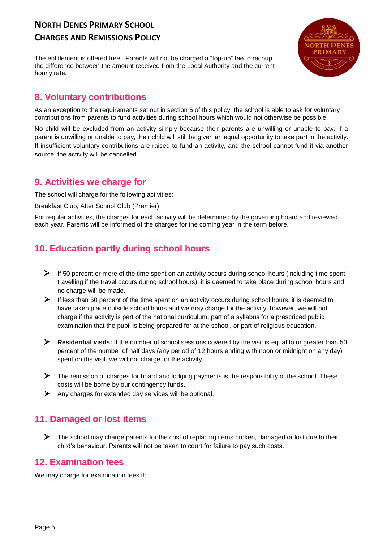The entitlement is offered free. Parents will not be charged a "top-up" fee to recoup the difference between the amount received from the Local Authority and the current hourly rate.



## <span id="page-4-0"></span>**8. Voluntary contributions**

As an exception to the requirements set out in section 5 of this policy, the school is able to ask for voluntary contributions from parents to fund activities during school hours which would not otherwise be possible.

No child will be excluded from an activity simply because their parents are unwilling or unable to pay. If a parent is unwilling or unable to pay, their child will still be given an equal opportunity to take part in the activity. If insufficient voluntary contributions are raised to fund an activity, and the school cannot fund it via another source, the activity will be cancelled.

### <span id="page-4-1"></span>**9. Activities we charge for**

The school will charge for the following activities:

#### Breakfast Club, After School Club (Premier)

For regular activities, the charges for each activity will be determined by the governing board and reviewed each year. Parents will be informed of the charges for the coming year in the term before.

## <span id="page-4-2"></span>**10. Education partly during school hours**

- $\triangleright$  If 50 percent or more of the time spent on an activity occurs during school hours (including time spent travelling if the travel occurs during school hours), it is deemed to take place during school hours and no charge will be made.
- $\triangleright$  If less than 50 percent of the time spent on an activity occurs during school hours, it is deemed to have taken place outside school hours and we may charge for the activity; however, we will not charge if the activity is part of the national curriculum, part of a syllabus for a prescribed public examination that the pupil is being prepared for at the school, or part of religious education.
- **Residential visits:** If the number of school sessions covered by the visit is equal to or greater than 50 percent of the number of half days (any period of 12 hours ending with noon or midnight on any day) spent on the visit, we will not charge for the activity.
- $\triangleright$  The remission of charges for board and lodging payments is the responsibility of the school. These costs will be borne by our contingency funds.
- $\triangleright$  Any charges for extended day services will be optional.

## <span id="page-4-3"></span>**11. Damaged or lost items**

 $\triangleright$  The school may charge parents for the cost of replacing items broken, damaged or lost due to their child's behaviour. Parents will not be taken to court for failure to pay such costs.

### <span id="page-4-4"></span>**12. Examination fees**

We may charge for examination fees if: